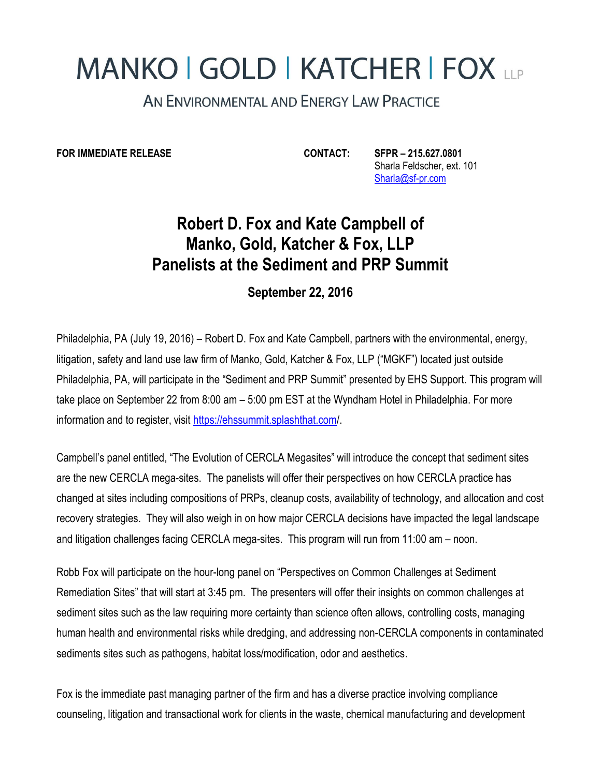## **MANKO | GOLD | KATCHER | FOX LLP**

AN ENVIRONMENTAL AND ENERGY LAW PRACTICE

**FOR IMMEDIATE RELEASE CONTACT: SFPR – 215.627.0801**

 Sharla Feldscher, ext. 101 [Sharla@sf-pr.com](mailto:Sharla@sf-pr.com)

## **Robert D. Fox and Kate Campbell of Manko, Gold, Katcher & Fox, LLP Panelists at the Sediment and PRP Summit**

**September 22, 2016**

Philadelphia, PA (July 19, 2016) – Robert D. Fox and Kate Campbell, partners with the environmental, energy, litigation, safety and land use law firm of Manko, Gold, Katcher & Fox, LLP ("MGKF") located just outside Philadelphia, PA, will participate in the "Sediment and PRP Summit" presented by EHS Support. This program will take place on September 22 from 8:00 am – 5:00 pm EST at the Wyndham Hotel in Philadelphia. For more information and to register, visit<https://ehssummit.splashthat.com/>.

Campbell's panel entitled, "The Evolution of CERCLA Megasites" will introduce the concept that sediment sites are the new CERCLA mega-sites. The panelists will offer their perspectives on how CERCLA practice has changed at sites including compositions of PRPs, cleanup costs, availability of technology, and allocation and cost recovery strategies. They will also weigh in on how major CERCLA decisions have impacted the legal landscape and litigation challenges facing CERCLA mega-sites. This program will run from 11:00 am – noon.

Robb Fox will participate on the hour-long panel on "Perspectives on Common Challenges at Sediment Remediation Sites" that will start at 3:45 pm. The presenters will offer their insights on common challenges at sediment sites such as the law requiring more certainty than science often allows, controlling costs, managing human health and environmental risks while dredging, and addressing non-CERCLA components in contaminated sediments sites such as pathogens, habitat loss/modification, odor and aesthetics.

Fox is the immediate past managing partner of the firm and has a diverse practice involving compliance counseling, litigation and transactional work for clients in the waste, chemical manufacturing and development